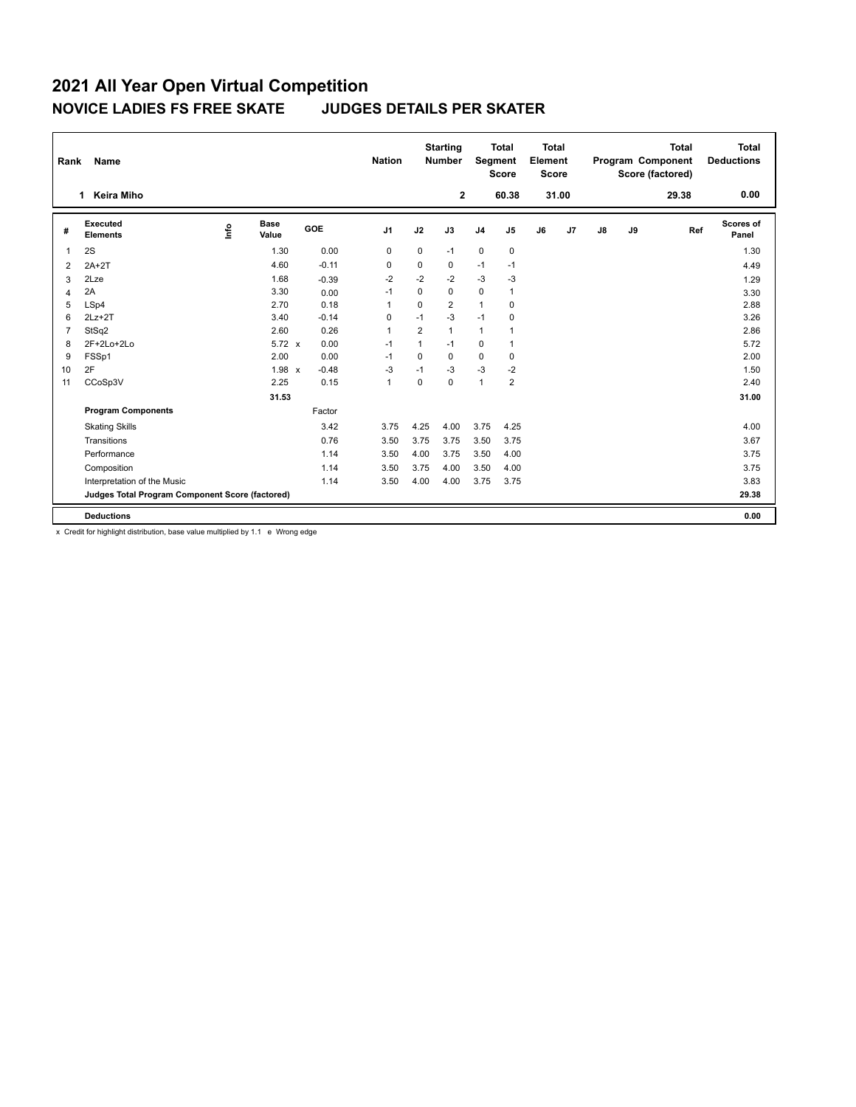## **2021 All Year Open Virtual Competition NOVICE LADIES FS FREE SKATE JUDGES DETAILS PER SKATER**

| Name<br>Rank   |                                                 |    |                      |         |                |             | <b>Starting</b><br><b>Number</b> |                | <b>Total</b><br><b>Total</b><br>Segment<br>Element<br>Score<br><b>Score</b> |    | Program Component<br>Score (factored) |    | <b>Total</b> | <b>Total</b><br><b>Deductions</b> |                           |
|----------------|-------------------------------------------------|----|----------------------|---------|----------------|-------------|----------------------------------|----------------|-----------------------------------------------------------------------------|----|---------------------------------------|----|--------------|-----------------------------------|---------------------------|
|                | Keira Miho<br>1                                 |    |                      |         |                |             | $\mathbf{2}$                     |                | 60.38                                                                       |    | 31.00                                 |    |              | 29.38                             | 0.00                      |
| #              | Executed<br><b>Elements</b>                     | ۴ů | <b>Base</b><br>Value | GOE     | J <sub>1</sub> | J2          | J3                               | J <sub>4</sub> | J <sub>5</sub>                                                              | J6 | J7                                    | J8 | J9           | Ref                               | <b>Scores of</b><br>Panel |
| $\mathbf 1$    | 2S                                              |    | 1.30                 | 0.00    | 0              | 0           | $-1$                             | 0              | 0                                                                           |    |                                       |    |              |                                   | 1.30                      |
| $\overline{2}$ | $2A+2T$                                         |    | 4.60                 | $-0.11$ | $\Omega$       | $\Omega$    | 0                                | $-1$           | $-1$                                                                        |    |                                       |    |              |                                   | 4.49                      |
| 3              | 2Lze                                            |    | 1.68                 | $-0.39$ | $-2$           | $-2$        | $-2$                             | $-3$           | $-3$                                                                        |    |                                       |    |              |                                   | 1.29                      |
| $\overline{4}$ | 2A                                              |    | 3.30                 | 0.00    | $-1$           | $\mathbf 0$ | 0                                | $\mathbf 0$    | $\mathbf{1}$                                                                |    |                                       |    |              |                                   | 3.30                      |
| 5              | LSp4                                            |    | 2.70                 | 0.18    | $\overline{1}$ | $\mathbf 0$ | $\overline{2}$                   | $\overline{1}$ | $\mathbf 0$                                                                 |    |                                       |    |              |                                   | 2.88                      |
| 6              | $2Lz+2T$                                        |    | 3.40                 | $-0.14$ | 0              | $-1$        | $-3$                             | $-1$           | 0                                                                           |    |                                       |    |              |                                   | 3.26                      |
| 7              | StSq2                                           |    | 2.60                 | 0.26    | $\overline{1}$ | 2           | $\mathbf{1}$                     | $\mathbf{1}$   |                                                                             |    |                                       |    |              |                                   | 2.86                      |
| 8              | 2F+2Lo+2Lo                                      |    | $5.72 \times$        | 0.00    | $-1$           | 1           | $-1$                             | $\mathbf 0$    | -1                                                                          |    |                                       |    |              |                                   | 5.72                      |
| 9              | FSSp1                                           |    | 2.00                 | 0.00    | $-1$           | $\mathbf 0$ | 0                                | $\mathbf 0$    | $\pmb{0}$                                                                   |    |                                       |    |              |                                   | 2.00                      |
| 10             | 2F                                              |    | 1.98 x               | $-0.48$ | $-3$           | $-1$        | $-3$                             | $-3$           | $-2$                                                                        |    |                                       |    |              |                                   | 1.50                      |
| 11             | CCoSp3V                                         |    | 2.25                 | 0.15    | $\overline{1}$ | 0           | 0                                | $\overline{1}$ | $\overline{2}$                                                              |    |                                       |    |              |                                   | 2.40                      |
|                |                                                 |    | 31.53                |         |                |             |                                  |                |                                                                             |    |                                       |    |              |                                   | 31.00                     |
|                | <b>Program Components</b>                       |    |                      | Factor  |                |             |                                  |                |                                                                             |    |                                       |    |              |                                   |                           |
|                | <b>Skating Skills</b>                           |    |                      | 3.42    | 3.75           | 4.25        | 4.00                             | 3.75           | 4.25                                                                        |    |                                       |    |              |                                   | 4.00                      |
|                | Transitions                                     |    |                      | 0.76    | 3.50           | 3.75        | 3.75                             | 3.50           | 3.75                                                                        |    |                                       |    |              |                                   | 3.67                      |
|                | Performance                                     |    |                      | 1.14    | 3.50           | 4.00        | 3.75                             | 3.50           | 4.00                                                                        |    |                                       |    |              |                                   | 3.75                      |
|                | Composition                                     |    |                      | 1.14    | 3.50           | 3.75        | 4.00                             | 3.50           | 4.00                                                                        |    |                                       |    |              |                                   | 3.75                      |
|                | Interpretation of the Music                     |    |                      | 1.14    | 3.50           | 4.00        | 4.00                             | 3.75           | 3.75                                                                        |    |                                       |    |              |                                   | 3.83                      |
|                | Judges Total Program Component Score (factored) |    |                      |         |                |             |                                  |                |                                                                             |    |                                       |    |              |                                   | 29.38                     |
|                | <b>Deductions</b>                               |    |                      |         |                |             |                                  |                |                                                                             |    |                                       |    |              |                                   | 0.00                      |

x Credit for highlight distribution, base value multiplied by 1.1 e Wrong edge